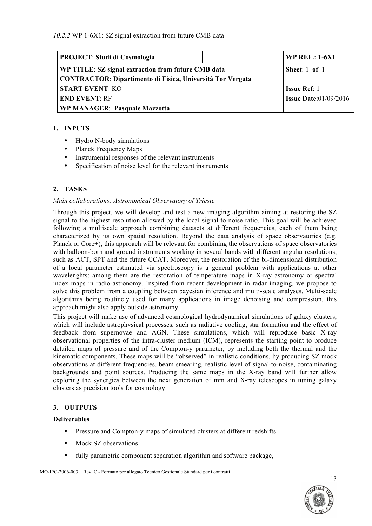| <b>PROJECT: Studi di Cosmologia</b>                        |  | <b>WP REF.: 1-6X1</b>        |
|------------------------------------------------------------|--|------------------------------|
| WP TITLE: SZ signal extraction from future CMB data        |  | Sheet: $1$ of $1$            |
| CONTRACTOR: Dipartimento di Fisica, Università Tor Vergata |  |                              |
| <b>START EVENT: KO</b>                                     |  | <b>Issue Ref: 1</b>          |
| <b>END EVENT: RF</b>                                       |  | <b>Issue Date:01/09/2016</b> |
| <b>WP MANAGER: Pasquale Mazzotta</b>                       |  |                              |

### **1. INPUTS**

- Hydro N-body simulations
- Planck Frequency Maps
- Instrumental responses of the relevant instruments
- Specification of noise level for the relevant instruments

# **2. TASKS**

#### *Main collaborations: Astronomical Observatory of Trieste*

Through this project, we will develop and test a new imaging algorithm aiming at restoring the SZ signal to the highest resolution allowed by the local signal-to-noise ratio. This goal will be achieved following a multiscale approach combining datasets at different frequencies, each of them being characterized by its own spatial resolution. Beyond the data analysis of space observatories (e.g. Planck or Core+), this approach will be relevant for combining the observations of space observatories with balloon-born and ground instruments working in several bands with different angular resolutions, such as ACT, SPT and the future CCAT. Moreover, the restoration of the bi-dimensional distribution of a local parameter estimated via spectroscopy is a general problem with applications at other wavelenghts: among them are the restoration of temperature maps in X-ray astronomy or spectral index maps in radio-astronomy. Inspired from recent development in radar imaging, we propose to solve this problem from a coupling between bayesian inference and multi-scale analyses. Multi-scale algorithms being routinely used for many applications in image denoising and compression, this approach might also apply outside astronomy.

This project will make use of advanced cosmological hydrodynamical simulations of galaxy clusters, which will include astrophysical processes, such as radiative cooling, star formation and the effect of feedback from supernovae and AGN. These simulations, which will reproduce basic X-ray observational properties of the intra-cluster medium (ICM), represents the starting point to produce detailed maps of pressure and of the Compton-y parameter, by including both the thermal and the kinematic components. These maps will be "observed" in realistic conditions, by producing SZ mock observations at different frequencies, beam smearing, realistic level of signal-to-noise, contaminating backgrounds and point sources. Producing the same maps in the X-ray band will further allow exploring the synergies between the next generation of mm and X-ray telescopes in tuning galaxy clusters as precision tools for cosmology.

#### **3. OUTPUTS**

#### **Deliverables**

- Pressure and Compton-y maps of simulated clusters at different redshifts
- Mock SZ observations
- fully parametric component separation algorithm and software package,